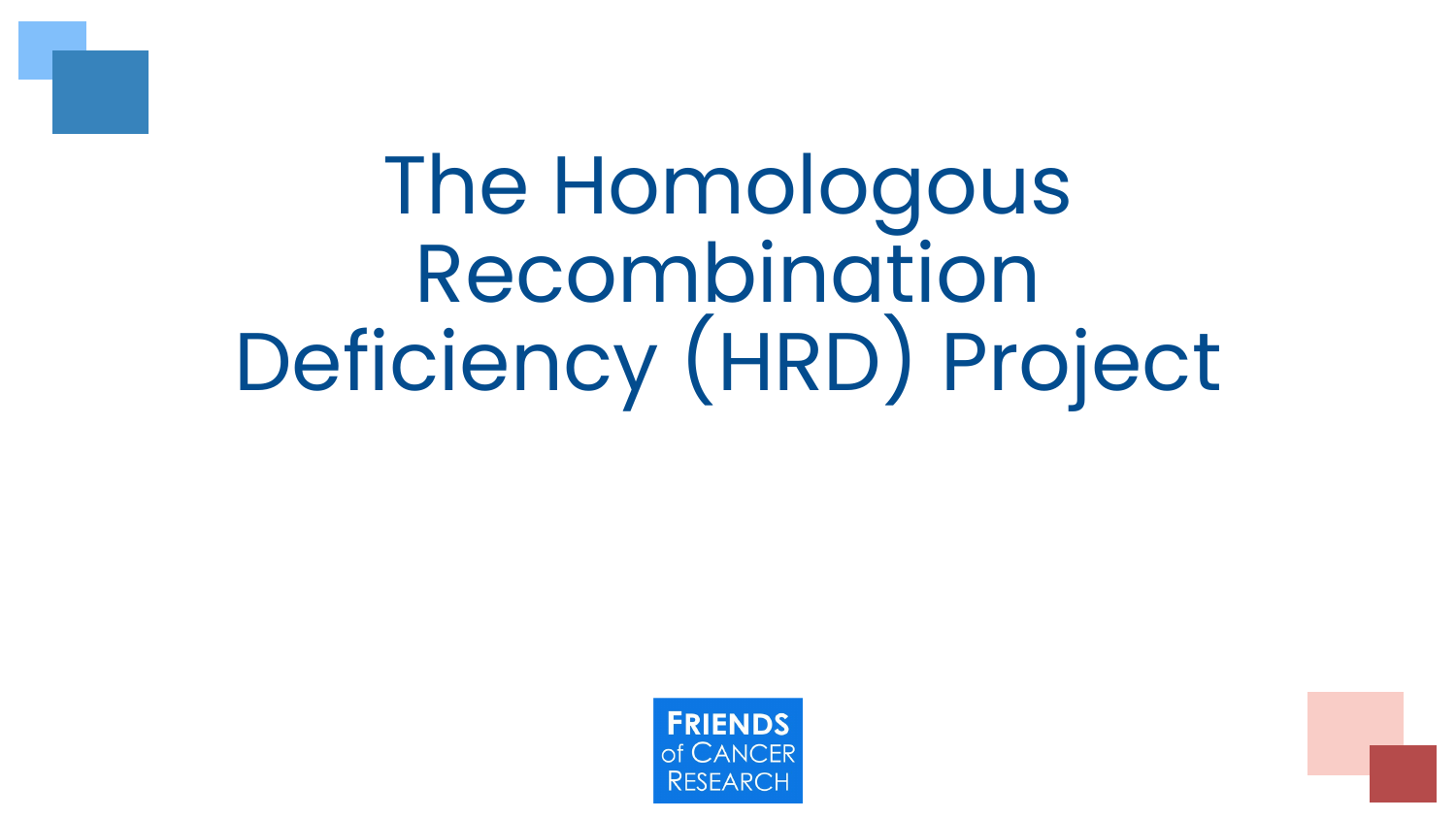

# The Homologous Recombination Deficiency (HRD) Project

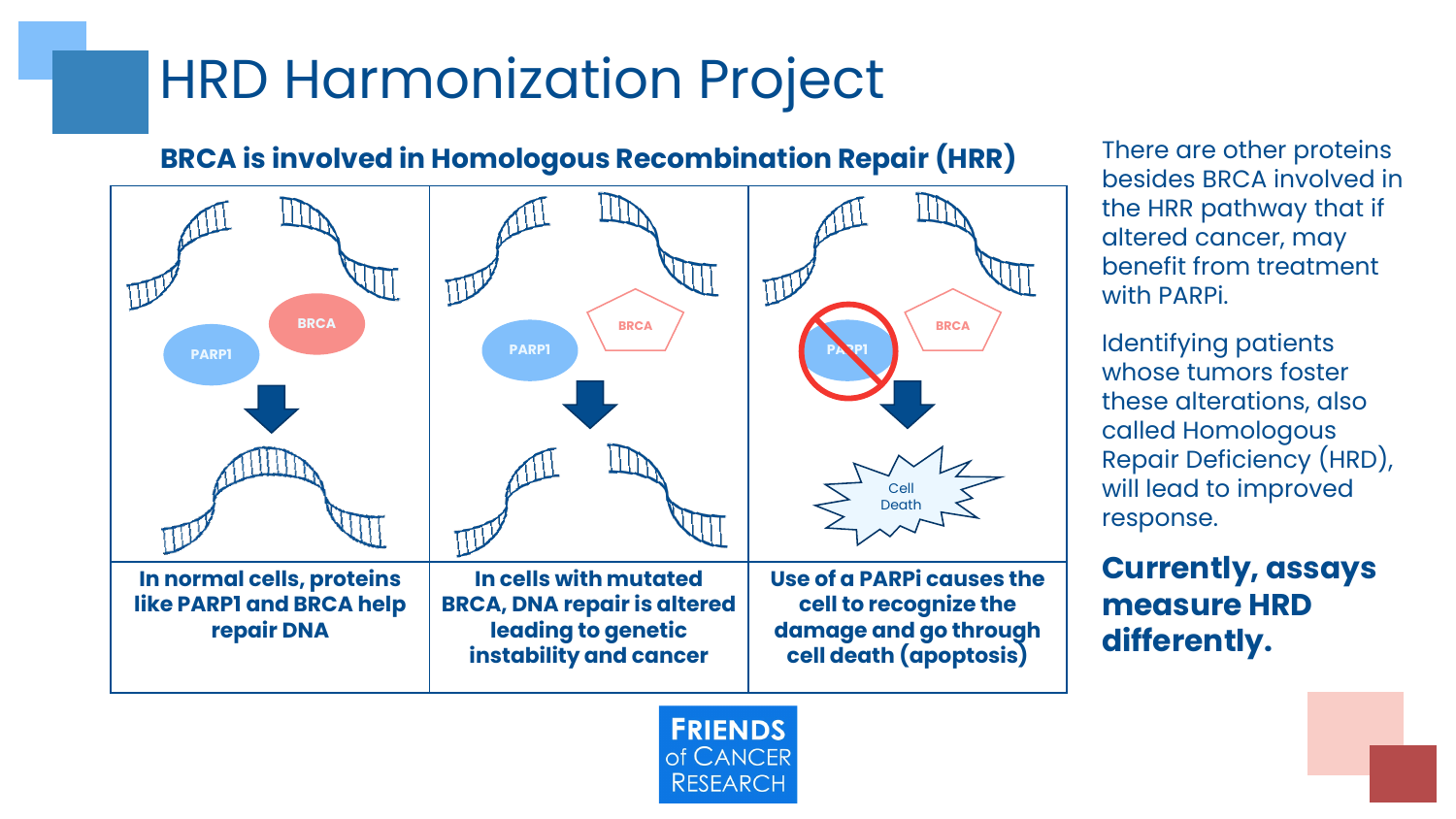### HRD Harmonization Project

#### **BRCA is involved in Homologous Recombination Repair (HRR)**



**FRIENDS** of CANCER **RESEARCH** 

There are other proteins besides BRCA involved in the HRR pathway that if altered cancer, may benefit from treatment with PARPi.

Identifying patients whose tumors foster these alterations, also called Homologous Repair Deficiency (HRD), will lead to improved response.

**Currently, assays measure HRD differently.**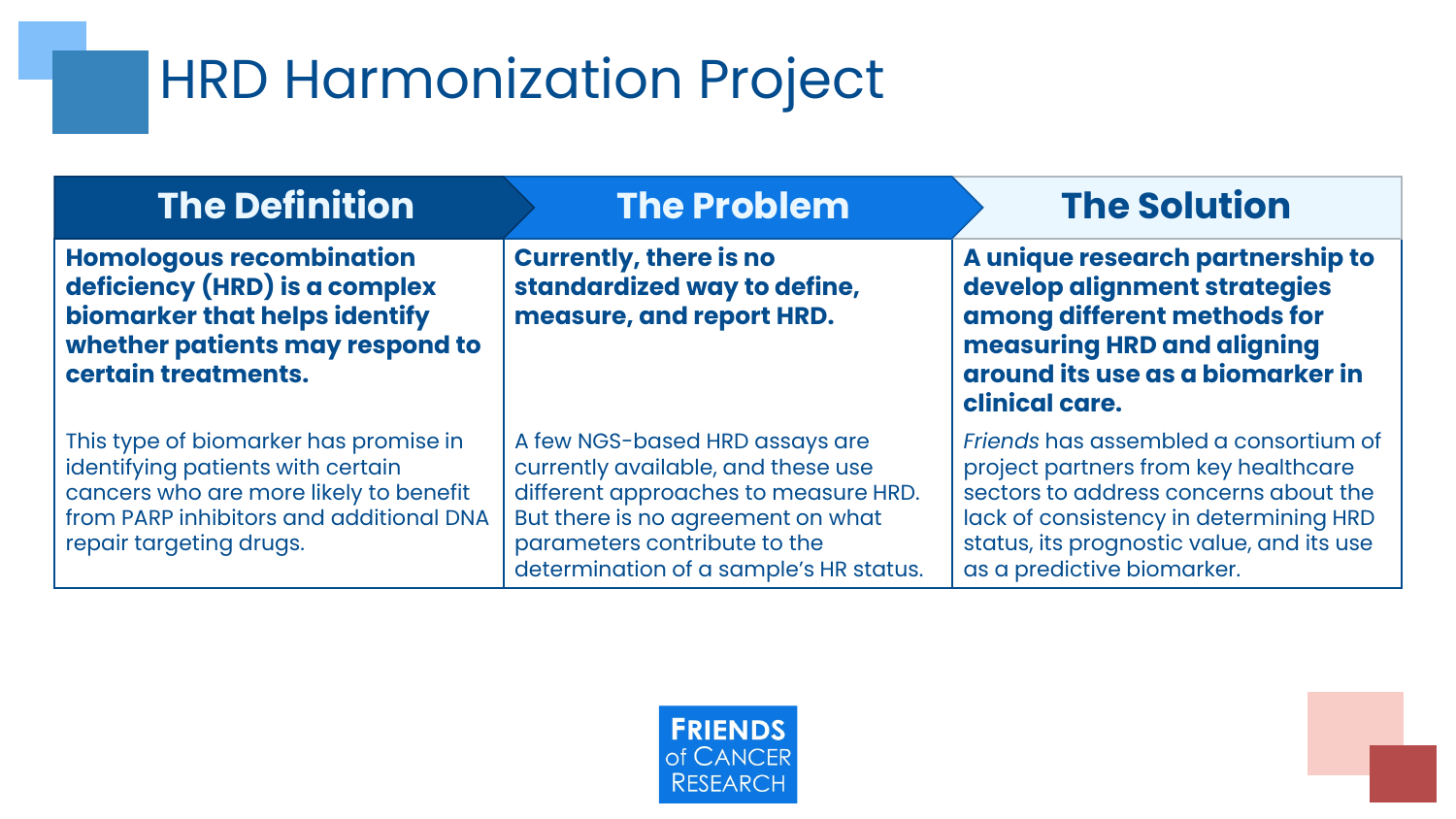### HRD Harmonization Project

| <b>The Definition</b>                                                                                                                                                                      | <b>The Problem</b>                                                                                                                                                                                                          | <b>The Solution</b>                                                                                                                                                                                                                         |
|--------------------------------------------------------------------------------------------------------------------------------------------------------------------------------------------|-----------------------------------------------------------------------------------------------------------------------------------------------------------------------------------------------------------------------------|---------------------------------------------------------------------------------------------------------------------------------------------------------------------------------------------------------------------------------------------|
| <b>Homologous recombination</b><br>deficiency (HRD) is a complex<br>biomarker that helps identify<br>whether patients may respond to<br>certain treatments.                                | <b>Currently, there is no</b><br>standardized way to define,<br>measure, and report HRD.                                                                                                                                    | A unique research partnership to<br>develop alignment strategies<br>among different methods for<br>measuring HRD and aligning<br>around its use as a biomarker in<br>clinical care.                                                         |
| This type of biomarker has promise in<br>identifying patients with certain<br>cancers who are more likely to benefit<br>from PARP inhibitors and additional DNA<br>repair targeting drugs. | A few NGS-based HRD assays are<br>currently available, and these use<br>different approaches to measure HRD.<br>But there is no agreement on what<br>parameters contribute to the<br>determination of a sample's HR status. | Friends has assembled a consortium of<br>project partners from key healthcare<br>sectors to address concerns about the<br>lack of consistency in determining HRD<br>status, its prognostic value, and its use<br>as a predictive biomarker. |

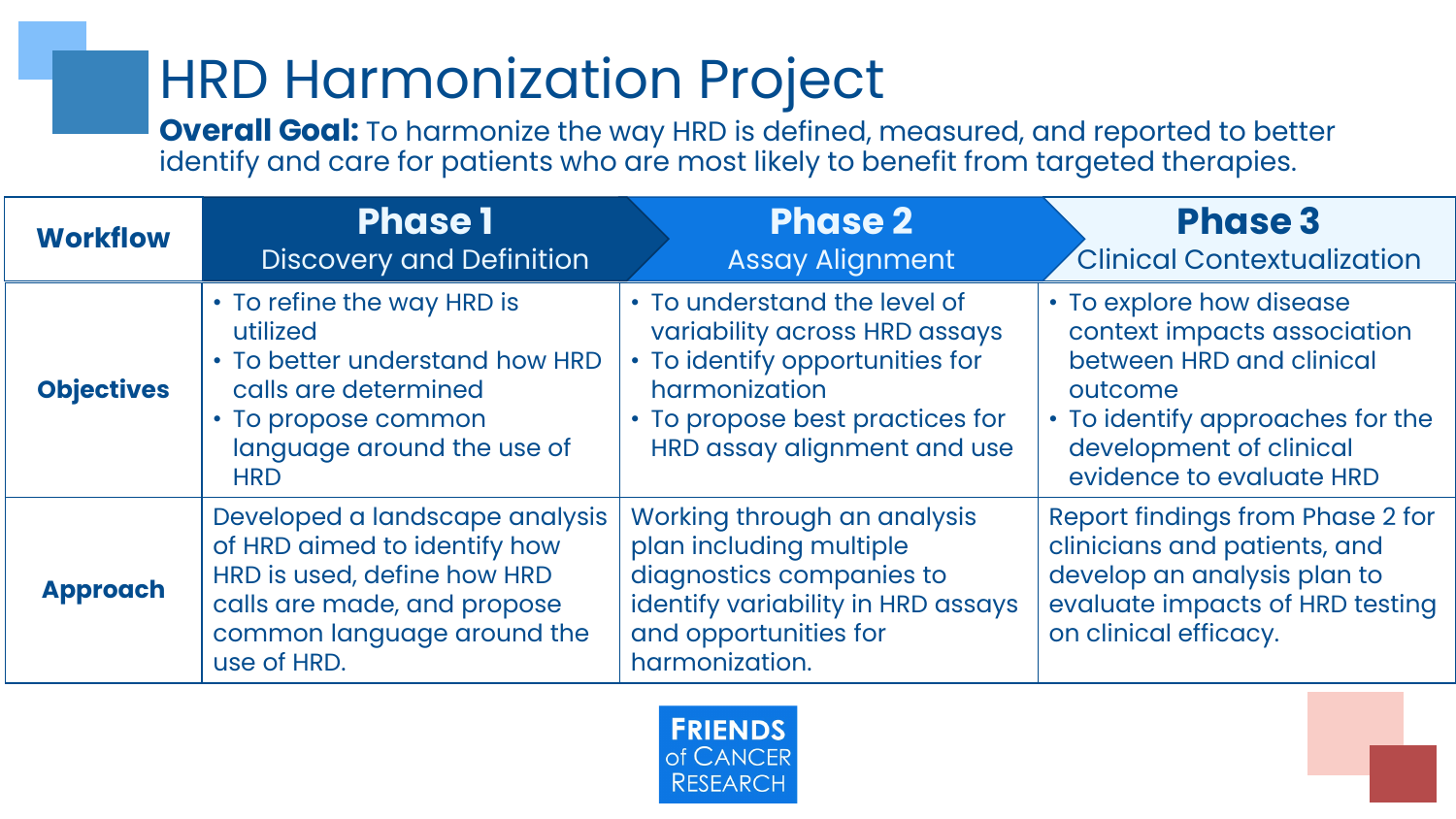## HRD Harmonization Project

**Overall Goal:** To harmonize the way HRD is defined, measured, and reported to better identify and care for patients who are most likely to benefit from targeted therapies.

| <b>Workflow</b>   | <b>Phase 1</b><br><b>Discovery and Definition</b>                                                                                                                         | <b>Phase 2</b><br><b>Assay Alignment</b>                                                                                                                                            | <b>Phase 3</b><br><b>Clinical Contextualization</b>                                                                                                                                       |
|-------------------|---------------------------------------------------------------------------------------------------------------------------------------------------------------------------|-------------------------------------------------------------------------------------------------------------------------------------------------------------------------------------|-------------------------------------------------------------------------------------------------------------------------------------------------------------------------------------------|
| <b>Objectives</b> | • To refine the way HRD is<br>utilized<br>• To better understand how HRD<br>calls are determined<br>• To propose common<br>language around the use of<br><b>HRD</b>       | • To understand the level of<br>variability across HRD assays<br>• To identify opportunities for<br>harmonization<br>• To propose best practices for<br>HRD assay alignment and use | • To explore how disease<br>context impacts association<br>between HRD and clinical<br>outcome<br>• To identify approaches for the<br>development of clinical<br>evidence to evaluate HRD |
| <b>Approach</b>   | Developed a landscape analysis<br>of HRD aimed to identify how<br>HRD is used, define how HRD<br>calls are made, and propose<br>common language around the<br>use of HRD. | Working through an analysis<br>plan including multiple<br>diagnostics companies to<br>identify variability in HRD assays<br>and opportunities for<br>harmonization.                 | Report findings from Phase 2 for<br>clinicians and patients, and<br>develop an analysis plan to<br>evaluate impacts of HRD testing<br>on clinical efficacy.                               |

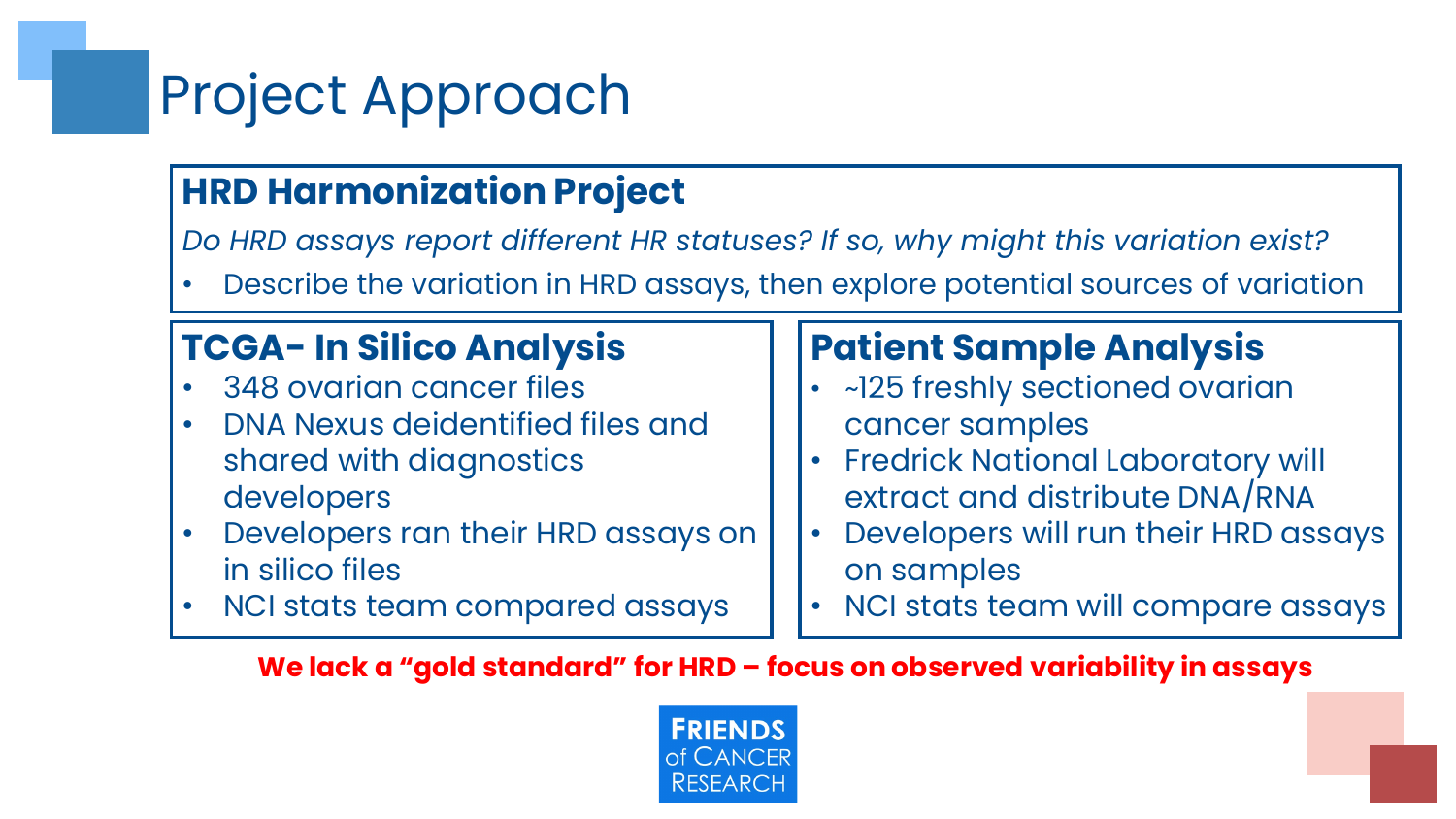## Project Approach

### **HRD Harmonization Project**

*Do HRD assays report different HR statuses? If so, why might this variation exist?*

• Describe the variation in HRD assays, then explore potential sources of variation

### **TCGA- In Silico Analysis**

- 348 ovarian cancer files
- DNA Nexus deidentified files and shared with diagnostics developers
- Developers ran their HRD assays on in silico files
- NCI stats team compared assays

### **Patient Sample Analysis**

- ~125 freshly sectioned ovarian cancer samples
- Fredrick National Laboratory will extract and distribute DNA/RNA
- Developers will run their HRD assays on samples
- NCI stats team will compare assays

#### **We lack a "gold standard" for HRD – focus on observed variability in assays**